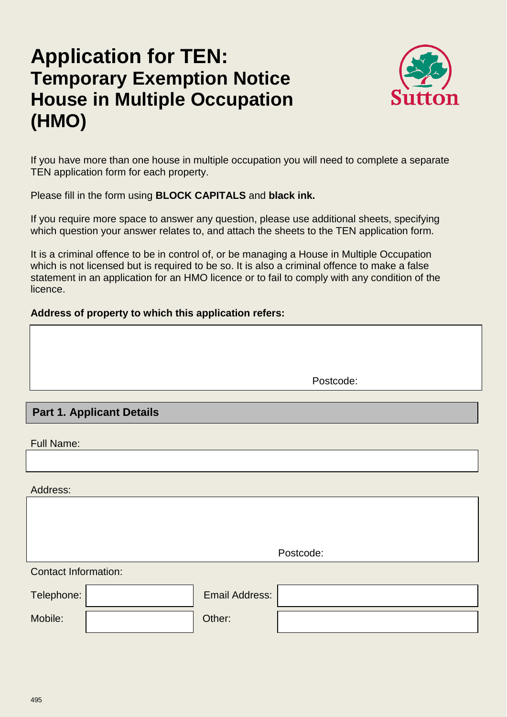# **Application for TEN: Temporary Exemption Notice House in Multiple Occupation (HMO)**



If you have more than one house in multiple occupation you will need to complete a separate TEN application form for each property.

Please fill in the form using **BLOCK CAPITALS** and **black ink.**

If you require more space to answer any question, please use additional sheets, specifying which question your answer relates to, and attach the sheets to the TEN application form.

It is a criminal offence to be in control of, or be managing a House in Multiple Occupation which is not licensed but is required to be so. It is also a criminal offence to make a false statement in an application for an HMO licence or to fail to comply with any condition of the licence.

#### **Address of property to which this application refers:**

Postcode:

## **. Part 1. Applicant Details**

Full Name:

Address:

Postcode:

Contact Information:

| Telephone: | <b>Email Address:</b> |  |
|------------|-----------------------|--|
| Mobile:    | Other:                |  |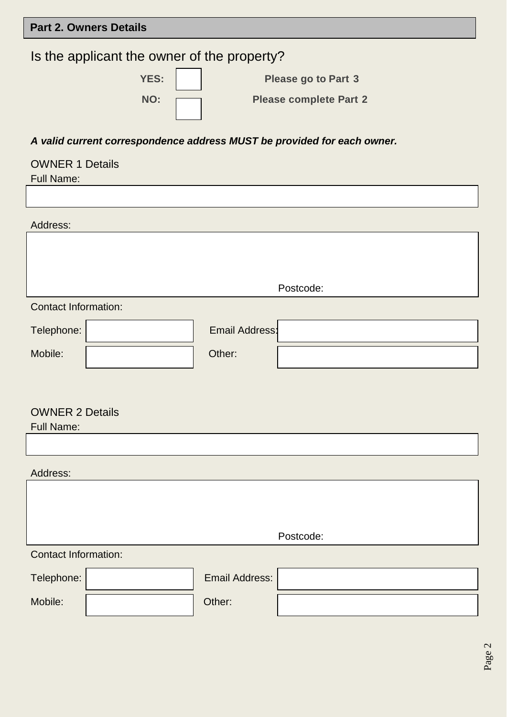## **Part 2. Owners Details**

# Is the applicant the owner of the property?

| <b>YES:</b> | <b>Please go to Part 3</b>    |
|-------------|-------------------------------|
| NO:         | <b>Please complete Part 2</b> |

#### *A valid current correspondence address MUST be provided for each owner.*

#### OWNER 1 Details

Full Name:

Address: Contact Information: Telephone: | Telephone: | Telephone: | Telephone: | Telephone: | Email Address: Mobile:  $\vert$  Other: OWNER 2 Details Full Name: Address: Contact Information: Telephone: | Telephone: | Email Address: Mobile:  $\vert$  Other: Postcode: Postcode: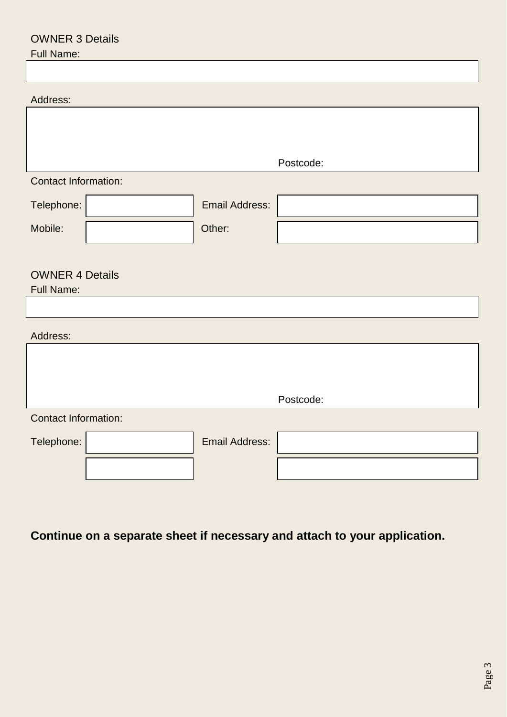## OWNER 3 Details

## Full Name:

| <b>Contact Information:</b> |  |  |  |  |  |  |  |
|-----------------------------|--|--|--|--|--|--|--|
|                             |  |  |  |  |  |  |  |
|                             |  |  |  |  |  |  |  |
|                             |  |  |  |  |  |  |  |
| <b>OWNER 4 Details</b>      |  |  |  |  |  |  |  |
| <b>Full Name:</b>           |  |  |  |  |  |  |  |
|                             |  |  |  |  |  |  |  |
| Address:                    |  |  |  |  |  |  |  |
|                             |  |  |  |  |  |  |  |
|                             |  |  |  |  |  |  |  |
|                             |  |  |  |  |  |  |  |
| <b>Contact Information:</b> |  |  |  |  |  |  |  |
|                             |  |  |  |  |  |  |  |
|                             |  |  |  |  |  |  |  |
|                             |  |  |  |  |  |  |  |

# **Continue on a separate sheet if necessary and attach to your application.**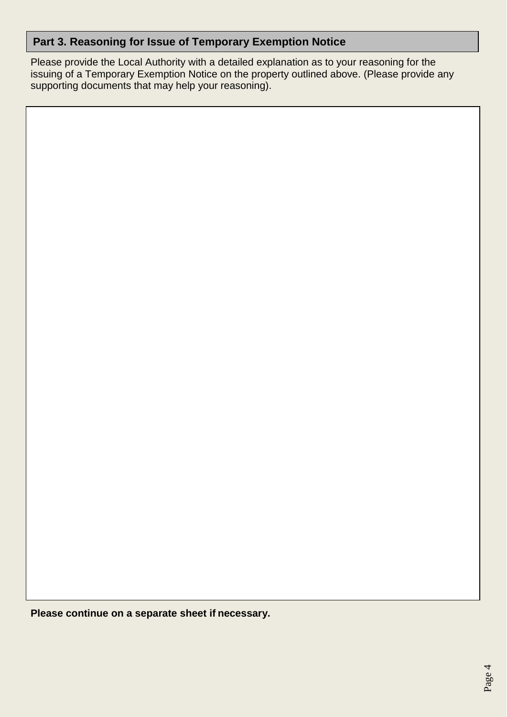## **Part 3. Reasoning for Issue of Temporary Exemption Notice**

Please provide the Local Authority with a detailed explanation as to your reasoning for the issuing of a Temporary Exemption Notice on the property outlined above. (Please provide any supporting documents that may help your reasoning).

**Please continue on a separate sheet if necessary.**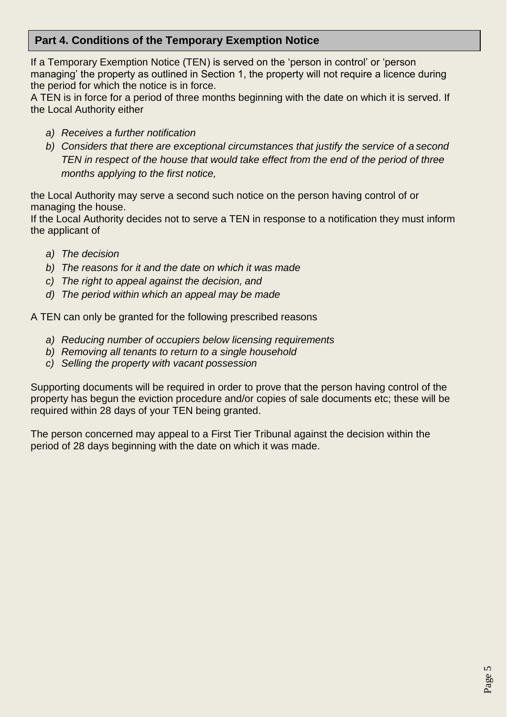#### **Part 4. Conditions of the Temporary Exemption Notice**

If a Temporary Exemption Notice (TEN) is served on the 'person in control' or 'person managing' the property as outlined in Section 1, the property will not require a licence during the period for which the notice is in force.

A TEN is in force for a period of three months beginning with the date on which it is served. If the Local Authority either

- *a) Receives a further notification*
- *b) Considers that there are exceptional circumstances that justify the service of a second TEN in respect of the house that would take effect from the end of the period of three months applying to the first notice,*

the Local Authority may serve a second such notice on the person having control of or managing the house.

If the Local Authority decides not to serve a TEN in response to a notification they must inform the applicant of

- *a) The decision*
- *b) The reasons for it and the date on which it was made*
- *c) The right to appeal against the decision, and*
- *d) The period within which an appeal may be made*

A TEN can only be granted for the following prescribed reasons

- *a) Reducing number of occupiers below licensing requirements*
- *b) Removing all tenants to return to a single household*
- *c) Selling the property with vacant possession*

Supporting documents will be required in order to prove that the person having control of the property has begun the eviction procedure and/or copies of sale documents etc; these will be required within 28 days of your TEN being granted.

The person concerned may appeal to a First Tier Tribunal against the decision within the period of 28 days beginning with the date on which it was made.